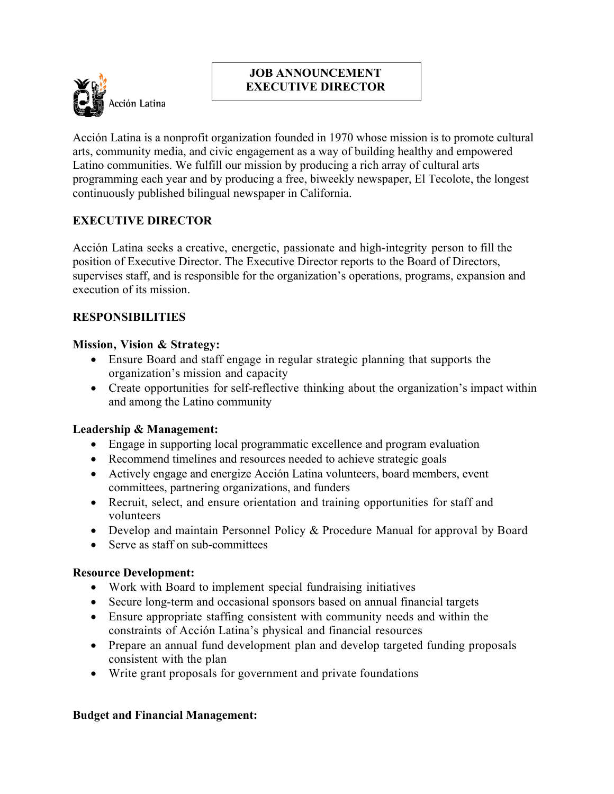

## **JOB ANNOUNCEMENT EXECUTIVE DIRECTOR**

Acción Latina is a nonprofit organization founded in 1970 whose mission is to promote cultural arts, community media, and civic engagement as a way of building healthy and empowered Latino communities. We fulfill our mission by producing a rich array of cultural arts programming each year and by producing a free, biweekly newspaper, El Tecolote, the longest continuously published bilingual newspaper in California.

# **EXECUTIVE DIRECTOR**

Acción Latina seeks a creative, energetic, passionate and high-integrity person to fill the position of Executive Director. The Executive Director reports to the Board of Directors, supervises staff, and is responsible for the organization's operations, programs, expansion and execution of its mission.

## **RESPONSIBILITIES**

#### **Mission, Vision & Strategy:**

- Ensure Board and staff engage in regular strategic planning that supports the organization's mission and capacity
- Create opportunities for self-reflective thinking about the organization's impact within and among the Latino community

#### **Leadership & Management:**

- Engage in supporting local programmatic excellence and program evaluation
- Recommend timelines and resources needed to achieve strategic goals
- Actively engage and energize Acción Latina volunteers, board members, event committees, partnering organizations, and funders
- Recruit, select, and ensure orientation and training opportunities for staff and volunteers
- Develop and maintain Personnel Policy & Procedure Manual for approval by Board
- Serve as staff on sub-committees

#### **Resource Development:**

- Work with Board to implement special fundraising initiatives
- Secure long-term and occasional sponsors based on annual financial targets
- Ensure appropriate staffing consistent with community needs and within the constraints of Acción Latina's physical and financial resources
- Prepare an annual fund development plan and develop targeted funding proposals consistent with the plan
- Write grant proposals for government and private foundations

#### **Budget and Financial Management:**